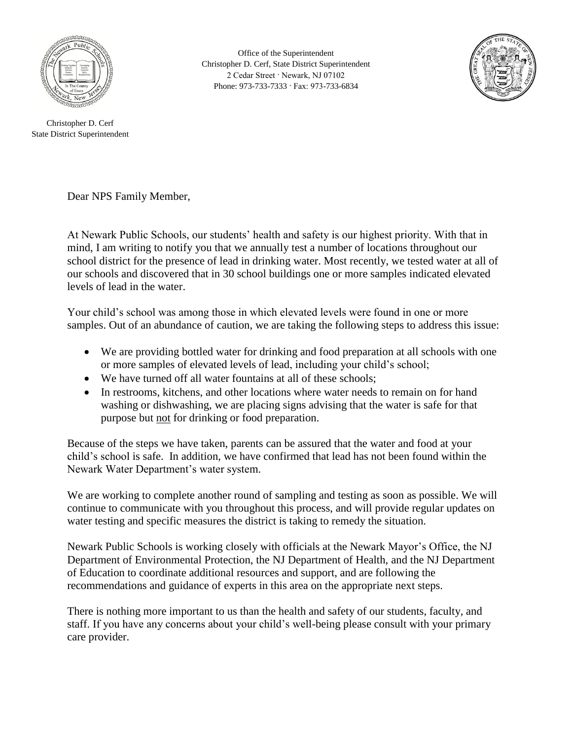

Office of the Superintendent Christopher D. Cerf, State District Superintendent 2 Cedar Street · Newark, NJ 07102 Phone: 973-733-7333 · Fax: 973-733-6834



Christopher D. Cerf State District Superintendent

Dear NPS Family Member,

At Newark Public Schools, our students' health and safety is our highest priority. With that in mind, I am writing to notify you that we annually test a number of locations throughout our school district for the presence of lead in drinking water. Most recently, we tested water at all of our schools and discovered that in 30 school buildings one or more samples indicated elevated levels of lead in the water.

Your child's school was among those in which elevated levels were found in one or more samples. Out of an abundance of caution, we are taking the following steps to address this issue:

- We are providing bottled water for drinking and food preparation at all schools with one or more samples of elevated levels of lead, including your child's school;
- We have turned off all water fountains at all of these schools;
- In restrooms, kitchens, and other locations where water needs to remain on for hand washing or dishwashing, we are placing signs advising that the water is safe for that purpose but not for drinking or food preparation.

Because of the steps we have taken, parents can be assured that the water and food at your child's school is safe. In addition, we have confirmed that lead has not been found within the Newark Water Department's water system.

We are working to complete another round of sampling and testing as soon as possible. We will continue to communicate with you throughout this process, and will provide regular updates on water testing and specific measures the district is taking to remedy the situation.

Newark Public Schools is working closely with officials at the Newark Mayor's Office, the NJ Department of Environmental Protection, the NJ Department of Health, and the NJ Department of Education to coordinate additional resources and support, and are following the recommendations and guidance of experts in this area on the appropriate next steps.

There is nothing more important to us than the health and safety of our students, faculty, and staff. If you have any concerns about your child's well-being please consult with your primary care provider.